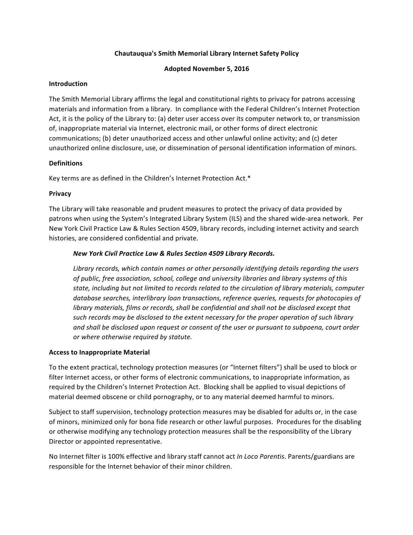# **Chautauqua's Smith Memorial Library Internet Safety Policy**

### **Adopted November 5, 2016**

### **Introduction**

The Smith Memorial Library affirms the legal and constitutional rights to privacy for patrons accessing materials and information from a library. In compliance with the Federal Children's Internet Protection Act, it is the policy of the Library to: (a) deter user access over its computer network to, or transmission of, inappropriate material via Internet, electronic mail, or other forms of direct electronic communications; (b) deter unauthorized access and other unlawful online activity; and (c) deter unauthorized online disclosure, use, or dissemination of personal identification information of minors.

# **Definitions**

Key terms are as defined in the Children's Internet Protection Act.\*

### **Privacy**

The Library will take reasonable and prudent measures to protect the privacy of data provided by patrons when using the System's Integrated Library System (ILS) and the shared wide-area network. Per New York Civil Practice Law & Rules Section 4509, library records, including internet activity and search histories, are considered confidential and private.

### *New York Civil Practice Law & Rules Section 4509 Library Records.*

Library records, which contain names or other personally *identifying details regarding the users* of public, free association, school, college and university libraries and library systems of this state, including but not limited to records related to the circulation of library materials, computer database searches, interlibrary loan transactions, reference queries, requests for photocopies of *library materials, films or records, shall be confidential and shall not be disclosed except that* such records may be disclosed to the extent necessary for the proper operation of such library and shall be disclosed upon request or consent of the user or pursuant to subpoena, court order *or where otherwise required by statute.*

#### **Access to Inappropriate Material**

To the extent practical, technology protection measures (or "Internet filters") shall be used to block or filter Internet access, or other forms of electronic communications, to inappropriate information, as required by the Children's Internet Protection Act. Blocking shall be applied to visual depictions of material deemed obscene or child pornography, or to any material deemed harmful to minors.

Subject to staff supervision, technology protection measures may be disabled for adults or, in the case of minors, minimized only for bona fide research or other lawful purposes. Procedures for the disabling or otherwise modifying any technology protection measures shall be the responsibility of the Library Director or appointed representative.

No Internet filter is 100% effective and library staff cannot act *In Loco Parentis*. Parents/guardians are responsible for the Internet behavior of their minor children.